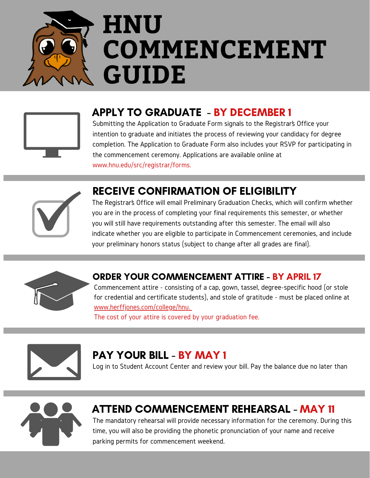



### APPLY TO GRADUATE - BY DECEMBER 1

Submitting the Application to Graduate Form signals to the Registrar's Office your intention to graduate and initiates the process of reviewing your candidacy for degree completion. The Application to Graduate Form also includes your RSVP for participating in the commencement ceremony. Applications are available online at www.hnu.edu/src/registrar/forms.



#### RECEIVE CONFIRMATION OF ELIGIBILITY

The Registrar's Office will email Preliminary Graduation Checks, which will confirm whether you are in the process of completing your final requirements this semester, or whether you will still have requirements outstanding after this semester. The email will also indicate whether you are eligible to participate in Commencement ceremonies, and include your preliminary honors status (subject to change after all grades are final).



#### ORDER YOUR COMMENCEMENT ATTIRE - BY APRIL 17

Commencement attire - consisting of a cap, gown, tassel, degree-specific hood (or stole for credential and certificate students), and stole of gratitude - must be placed online at [www.herffjones.com/college/hnu.](http://www.herffjones.com/college/hnu)

The cost of your attire is covered by your graduation fee.



#### PAY YOUR BILL - BY MAY 1

Log in to Student Account Center and review your bill. Pay the balance due no later than



## ATTEND COMMENCEMENT REHEARSAL - MAY 11

The mandatory rehearsal will provide necessary information for the ceremony. During this time, you will also be providing the phonetic pronunciation of your name and receive parking permits for commencement weekend.